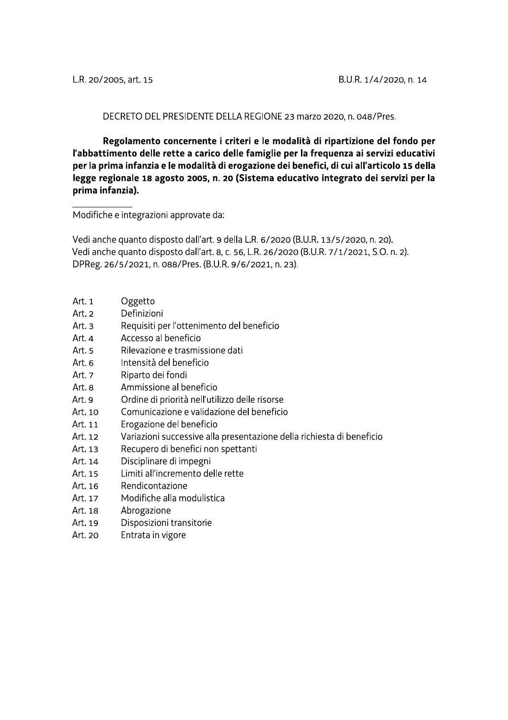#### DECRETO DEL PRESIDENTE DELLA REGIONE 23 marzo 2020, n. 048/Pres.

Regolamento concernente i criteri e le modalità di ripartizione del fondo per l'abbattimento delle rette a carico delle famiglie per la frequenza ai servizi educativi per la prima infanzia e le modalità di erogazione dei benefici, di cui all'articolo 15 della legge regionale 18 agosto 2005, n. 20 (Sistema educativo integrato dei servizi per la prima infanzia).

Modifiche e integrazioni approvate da:

Vedi anche quanto disposto dall'art. 9 della L.R. 6/2020 (B.U.R. 13/5/2020, n. 20). Vedi anche quanto disposto dall'art. 8, c. 56, L.R. 26/2020 (B.U.R. 7/1/2021, S.O. n. 2). DPReg. 26/5/2021, n. 088/Pres. (B.U.R. 9/6/2021, n. 23).

- Art. 1 Oggetto
- Art. 2 Definizioni
- Art.  $3$ Requisiti per l'ottenimento del beneficio
- Art. 4 Accesso al beneficio
- Art.<sub>5</sub> Rilevazione e trasmissione dati
- Art.  $6$ Intensità del beneficio
- Art. 7 Riparto dei fondi
- Art. 8 Ammissione al beneficio
- Art. 9 Ordine di priorità nell'utilizzo delle risorse
- Art. 10 Comunicazione e validazione del beneficio
- Art. 11 Erogazione del beneficio
- Art. 12 Variazioni successive alla presentazione della richiesta di beneficio
- Art. 13 Recupero di benefici non spettanti
- Disciplinare di impegni Art. 14
- Art. 15 Limiti all'incremento delle rette
- Rendicontazione Art. 16
- Art. 17 Modifiche alla modulistica
- Art. 18 Abrogazione
- Art. 19 Disposizioni transitorie
- Art. 20 Entrata in vigore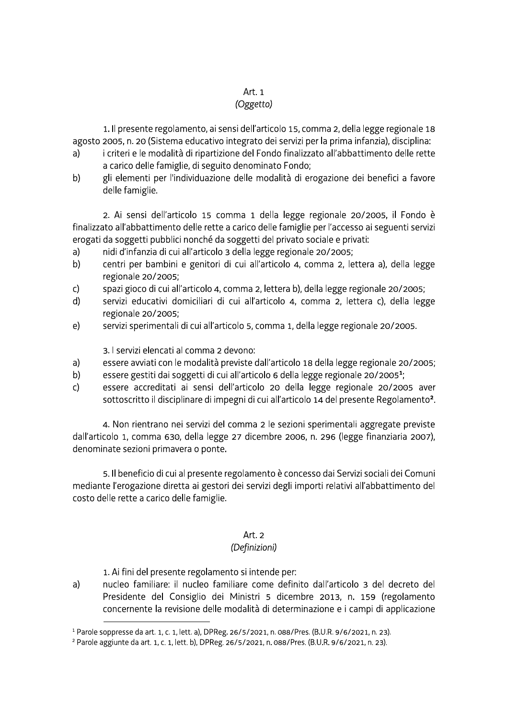# Art. 1

### (Oggetto)

1. Il presente regolamento, ai sensi dell'articolo 15, comma 2, della legge regionale 18 agosto 2005, n. 20 (Sistema educativo integrato dei servizi per la prima infanzia), disciplina:

- i criteri e le modalità di ripartizione del Fondo finalizzato all'abbattimento delle rette a) a carico delle famiglie, di seguito denominato Fondo;
- gli elementi per l'individuazione delle modalità di erogazione dei benefici a favore b) delle famiglie.

2. Ai sensi dell'articolo 15 comma 1 della legge regionale 20/2005, il Fondo è finalizzato all'abbattimento delle rette a carico delle famiglie per l'accesso ai seguenti servizi erogati da soggetti pubblici nonché da soggetti del privato sociale e privati:

- nidi d'infanzia di cui all'articolo 3 della legge regionale 20/2005;  $a)$
- $b)$ centri per bambini e genitori di cui all'articolo 4, comma 2, lettera a), della legge regionale 20/2005;
- $\mathsf{C}$ spazi gioco di cui all'articolo 4, comma 2, lettera b), della legge regionale 20/2005;
- servizi educativi domiciliari di cui all'articolo 4, comma 2, lettera c), della legge d) regionale 20/2005;
- $e)$ servizi sperimentali di cui all'articolo 5, comma 1, della legge regionale 20/2005.

3. I servizi elencati al comma 2 devono:

- $a)$ essere avviati con le modalità previste dall'articolo 18 della legge regionale 20/2005;
- essere gestiti dai soggetti di cui all'articolo 6 della legge regionale 20/2005<sup>1</sup>; b)
- $\mathsf{C}$ essere accreditati ai sensi dell'articolo 20 della legge regionale 20/2005 aver sottoscritto il disciplinare di impegni di cui all'articolo 14 del presente Regolamento<sup>2</sup>.

4. Non rientrano nei servizi del comma 2 le sezioni sperimentali aggregate previste dall'articolo 1, comma 630, della legge 27 dicembre 2006, n. 296 (legge finanziaria 2007). denominate sezioni primavera o ponte.

5. Il beneficio di cui al presente regolamento è concesso dai Servizi sociali dei Comuni mediante l'erogazione diretta ai gestori dei servizi degli importi relativi all'abbattimento del costo delle rette a carico delle famiglie.

# Art. 2

# (Definizioni)

1. Ai fini del presente regolamento si intende per:

 $a)$ nucleo familiare: il nucleo familiare come definito dall'articolo 3 del decreto del Presidente del Consiglio dei Ministri 5 dicembre 2013, n. 159 (regolamento concernente la revisione delle modalità di determinazione e i campi di applicazione

<sup>&</sup>lt;sup>1</sup> Parole soppresse da art. 1, c. 1, lett. a), DPReg. 26/5/2021, n. 088/Pres. (B.U.R. 9/6/2021, n. 23).

<sup>&</sup>lt;sup>2</sup> Parole aggiunte da art. 1, c. 1, lett. b), DPReg. 26/5/2021, n. 088/Pres. (B.U.R. 9/6/2021, n. 23).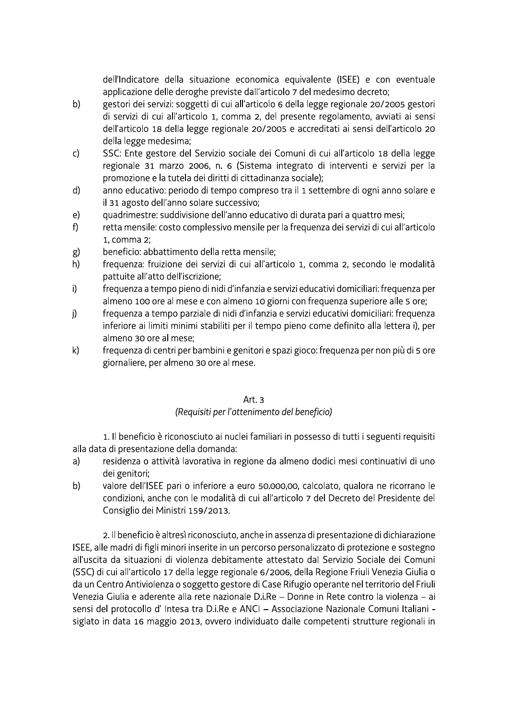dell'Indicatore della situazione economica equivalente (ISEE) e con eventuale applicazione delle deroghe previste dall'articolo 7 del medesimo decreto;

- $b)$ gestori dei servizi: soggetti di cui all'articolo 6 della legge regionale 20/2005 gestori di servizi di cui all'articolo 1, comma 2, del presente regolamento, avviati ai sensi dell'articolo 18 della legge regionale 20/2005 e accreditati ai sensi dell'articolo 20 della legge medesima;
- $\mathsf{C}$ SSC: Ente gestore del Servizio sociale dei Comuni di cui all'articolo 18 della legge regionale 31 marzo 2006, n. 6 (Sistema integrato di interventi e servizi per la promozione e la tutela dei diritti di cittadinanza sociale);
- $d)$ anno educativo: periodo di tempo compreso tra il 1 settembre di ogni anno solare e il 31 agosto dell'anno solare successivo;
- quadrimestre: suddivisione dell'anno educativo di durata pari a quattro mesi;  $e)$
- $f$ retta mensile: costo complessivo mensile per la frequenza dei servizi di cui all'articolo 1. comma 2:
- beneficio: abbattimento della retta mensile: g)
- $h)$ frequenza: fruizione dei servizi di cui all'articolo 1, comma 2, secondo le modalità pattuite all'atto dell'iscrizione;
- $\mathbf{i}$ frequenza a tempo pieno di nidi d'infanzia e servizi educativi domiciliari: frequenza per almeno 100 ore al mese e con almeno 10 giorni con frequenza superiore alle 5 ore;
- freguenza a tempo parziale di nidi d'infanzia e servizi educativi domiciliari: freguenza j) inferiore ai limiti minimi stabiliti per il tempo pieno come definito alla lettera i), per almeno 30 ore al mese:
- $\mathsf{k}$ frequenza di centri per bambini e genitori e spazi gioco: frequenza per non più di 5 ore giornaliere, per almeno 30 ore al mese.

# Art.<sub>3</sub>

# (Requisiti per l'ottenimento del beneficio)

1. Il beneficio è riconosciuto ai nuclei familiari in possesso di tutti i seguenti requisiti alla data di presentazione della domanda:

- residenza o attività lavorativa in regione da almeno dodici mesi continuativi di uno  $a)$ dei genitori:
- valore dell'ISEE pari o inferiore a euro 50.000,00, calcolato, qualora ne ricorrano le b) condizioni, anche con le modalità di cui all'articolo 7 del Decreto del Presidente del Consiglio dei Ministri 159/2013.

2. Il beneficio è altresì riconosciuto, anche in assenza di presentazione di dichiarazione ISEE, alle madri di figli minori inserite in un percorso personalizzato di protezione e sostegno all'uscita da situazioni di violenza debitamente attestato dal Servizio Sociale dei Comuni (SSC) di cui all'articolo 17 della legge regionale 6/2006, della Regione Friuli Venezia Giulia o da un Centro Antiviolenza o soggetto gestore di Case Rifugio operante nel territorio del Friuli Venezia Giulia e aderente alla rete nazionale D.i.Re - Donne in Rete contro la violenza - ai sensi del protocollo d'Intesa tra D.i.Re e ANCI - Associazione Nazionale Comuni Italiani siglato in data 16 maggio 2013, ovvero individuato dalle competenti strutture regionali in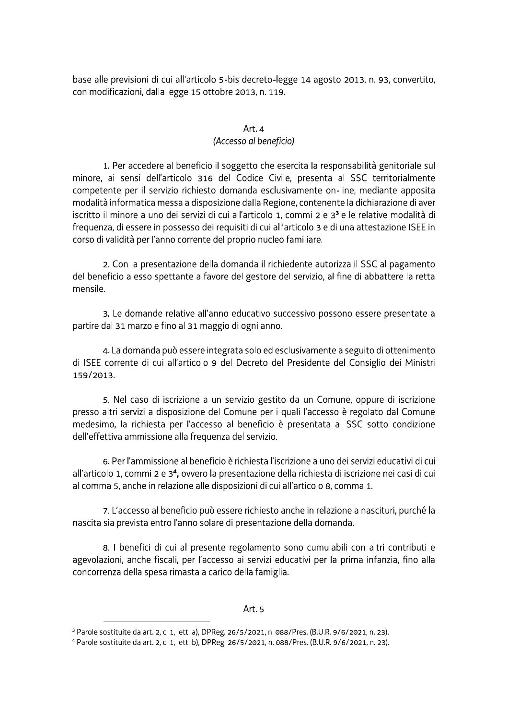base alle previsioni di cui all'articolo 5-bis decreto-legge 14 agosto 2013, n. 93, convertito, con modificazioni, dalla legge 15 ottobre 2013, n. 119.

# Art. $4$

### (Accesso al beneficio)

1. Per accedere al beneficio il soggetto che esercita la responsabilità genitoriale sul minore, ai sensi dell'articolo 316 del Codice Civile, presenta al SSC territorialmente competente per il servizio richiesto domanda esclusivamente on-line, mediante apposita modalità informatica messa a disposizione dalla Regione, contenente la dichiarazione di aver iscritto il minore a uno dei servizi di cui all'articolo 1, commi 2 e 3<sup>3</sup> e le relative modalità di frequenza, di essere in possesso dei requisiti di cui all'articolo 3 e di una attestazione ISEE in corso di validità per l'anno corrente del proprio nucleo familiare.

2. Con la presentazione della domanda il richiedente autorizza il SSC al pagamento del beneficio a esso spettante a favore del gestore del servizio, al fine di abbattere la retta mensile

3. Le domande relative all'anno educativo successivo possono essere presentate a partire dal 31 marzo e fino al 31 maggio di ogni anno.

4. La domanda può essere integrata solo ed esclusivamente a seguito di ottenimento di ISEE corrente di cui all'articolo 9 del Decreto del Presidente del Consiglio dei Ministri 159/2013

5. Nel caso di iscrizione a un servizio gestito da un Comune, oppure di iscrizione presso altri servizi a disposizione del Comune per i quali l'accesso è regolato dal Comune medesimo, la richiesta per l'accesso al beneficio è presentata al SSC sotto condizione dell'effettiva ammissione alla frequenza del servizio.

6. Per l'ammissione al beneficio è richiesta l'iscrizione a uno dei servizi educativi di cui all'articolo 1, commi 2 e 3<sup>4</sup>, ovvero la presentazione della richiesta di iscrizione nei casi di cui al comma 5, anche in relazione alle disposizioni di cui all'articolo 8, comma 1.

7. L'accesso al beneficio può essere richiesto anche in relazione a nascituri, purché la nascita sia prevista entro l'anno solare di presentazione della domanda.

8. I benefici di cui al presente regolamento sono cumulabili con altri contributi e agevolazioni, anche fiscali, per l'accesso ai servizi educativi per la prima infanzia, fino alla concorrenza della spesa rimasta a carico della famiglia.

<sup>&</sup>lt;sup>3</sup> Parole sostituite da art. 2, c. 1, lett. a), DPReg. 26/5/2021, n. 088/Pres. (B.U.R. 9/6/2021, n. 23).

<sup>&</sup>lt;sup>4</sup> Parole sostituite da art. 2, c. 1, lett. b), DPReg. 26/5/2021, n. 088/Pres. (B.U.R. 9/6/2021, n. 23).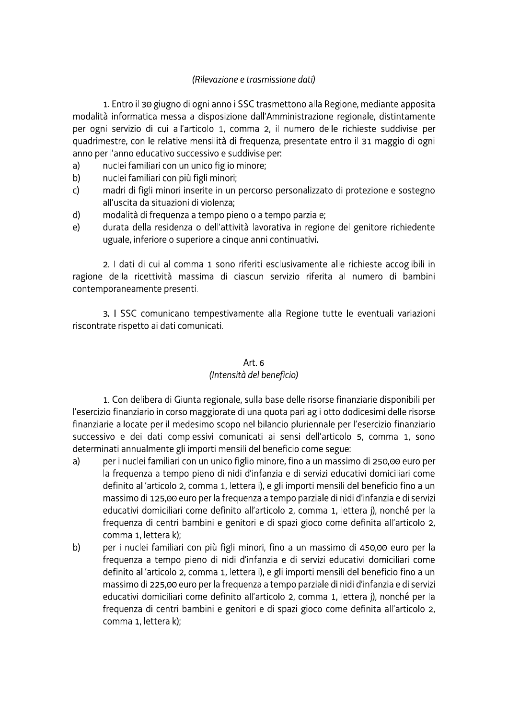### (Rilevazione e trasmissione dati)

1. Entro il 30 giugno di ogni anno i SSC trasmettono alla Regione, mediante apposita modalità informatica messa a disposizione dall'Amministrazione regionale, distintamente per ogni servizio di cui all'articolo 1, comma 2, il numero delle richieste suddivise per quadrimestre, con le relative mensilità di frequenza, presentate entro il 31 maggio di ogni anno per l'anno educativo successivo e suddivise per:

- nuclei familiari con un unico figlio minore;  $a)$
- b) nuclei familiari con più figli minori;
- $\mathsf{C}$ madri di figli minori inserite in un percorso personalizzato di protezione e sostegno all'uscita da situazioni di violenza;
- modalità di frequenza a tempo pieno o a tempo parziale;  $\mathsf{d}$
- durata della residenza o dell'attività lavorativa in regione del genitore richiedente  $e)$ uguale, inferiore o superiore a cinque anni continuativi.

2. I dati di cui al comma 1 sono riferiti esclusivamente alle richieste accoglibili in ragione della ricettività massima di ciascun servizio riferita al numero di bambini contemporaneamente presenti.

3. I SSC comunicano tempestivamente alla Regione tutte le eventuali variazioni riscontrate rispetto ai dati comunicati.

# Art. 6

# (Intensità del beneficio)

1. Con delibera di Giunta regionale, sulla base delle risorse finanziarie disponibili per l'esercizio finanziario in corso maggiorate di una quota pari agli otto dodicesimi delle risorse finanziarie allocate per il medesimo scopo nel bilancio pluriennale per l'esercizio finanziario successivo e dei dati complessivi comunicati ai sensi dell'articolo 5, comma 1, sono determinati annualmente gli importi mensili del beneficio come segue:

- per i nuclei familiari con un unico figlio minore, fino a un massimo di 250,00 euro per  $a)$ la frequenza a tempo pieno di nidi d'infanzia e di servizi educativi domiciliari come definito all'articolo 2, comma 1, lettera i), e gli importi mensili del beneficio fino a un massimo di 125,00 euro per la frequenza a tempo parziale di nidi d'infanzia e di servizi educativi domiciliari come definito all'articolo 2, comma 1, lettera j), nonché per la frequenza di centri bambini e genitori e di spazi gioco come definita all'articolo 2, comma 1. lettera k):
- $b)$ per i nuclei familiari con più figli minori, fino a un massimo di 450,00 euro per la frequenza a tempo pieno di nidi d'infanzia e di servizi educativi domiciliari come definito all'articolo 2, comma 1, lettera i), e gli importi mensili del beneficio fino a un massimo di 225,00 euro per la frequenza a tempo parziale di nidi d'infanzia e di servizi educativi domiciliari come definito all'articolo 2, comma 1, lettera j), nonché per la frequenza di centri bambini e genitori e di spazi gioco come definita all'articolo 2, comma 1, lettera k);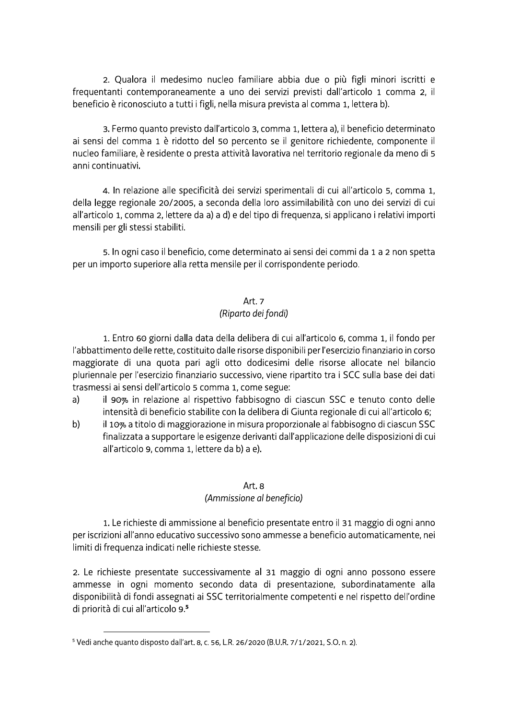2. Qualora il medesimo nucleo familiare abbia due o più figli minori iscritti e frequentanti contemporaneamente a uno dei servizi previsti dall'articolo 1 comma 2, il beneficio è riconosciuto a tutti i figli, nella misura prevista al comma 1, lettera b).

3. Fermo quanto previsto dall'articolo 3, comma 1, lettera a), il beneficio determinato ai sensi del comma 1 è ridotto del 50 percento se il genitore richiedente, componente il nucleo familiare, è residente o presta attività lavorativa nel territorio regionale da meno di 5 anni continuativi.

4. In relazione alle specificità dei servizi sperimentali di cui all'articolo 5, comma 1, della legge regionale 20/2005, a seconda della loro assimilabilità con uno dei servizi di cui all'articolo 1, comma 2, lettere da a) a d) e del tipo di frequenza, si applicano i relativi importi mensili per gli stessi stabiliti.

5. In ogni caso il beneficio, come determinato ai sensi dei commi da 1 a 2 non spetta per un importo superiore alla retta mensile per il corrispondente periodo.

# Art. 7 (Riparto dei fondi)

1. Entro 60 giorni dalla data della delibera di cui all'articolo 6, comma 1, il fondo per l'abbattimento delle rette, costituito dalle risorse disponibili per l'esercizio finanziario in corso maggiorate di una quota pari agli otto dodicesimi delle risorse allocate nel bilancio pluriennale per l'esercizio finanziario successivo, viene ripartito tra i SCC sulla base dei dati trasmessi ai sensi dell'articolo 5 comma 1, come segue:

- il 90% in relazione al rispettivo fabbisogno di ciascun SSC e tenuto conto delle  $a)$ intensità di beneficio stabilite con la delibera di Giunta regionale di cui all'articolo 6;
- il 10% a titolo di maggiorazione in misura proporzionale al fabbisogno di ciascun SSC  $b)$ finalizzata a supportare le esigenze derivanti dall'applicazione delle disposizioni di cui all'articolo 9, comma 1, lettere da b) a e).

# Art. 8

# (Ammissione al beneficio)

1. Le richieste di ammissione al beneficio presentate entro il 31 maggio di ogni anno per iscrizioni all'anno educativo successivo sono ammesse a beneficio automaticamente, nei limiti di frequenza indicati nelle richieste stesse.

2. Le richieste presentate successivamente al 31 maggio di ogni anno possono essere ammesse in ogni momento secondo data di presentazione, subordinatamente alla disponibilità di fondi assegnati ai SSC territorialmente competenti e nel rispetto dell'ordine di priorità di cui all'articolo 9.5

<sup>&</sup>lt;sup>5</sup> Vedi anche quanto disposto dall'art. 8, c. 56, L.R. 26/2020 (B.U.R. 7/1/2021, S.O. n. 2).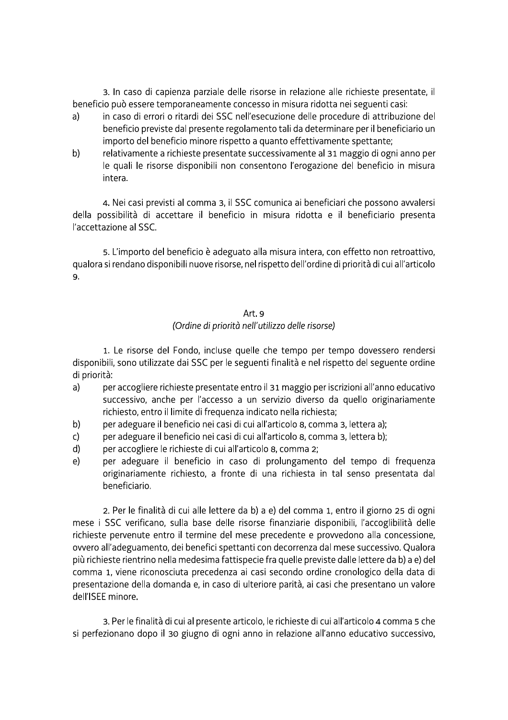3. In caso di capienza parziale delle risorse in relazione alle richieste presentate, il beneficio può essere temporaneamente concesso in misura ridotta nei seguenti casi:

- in caso di errori o ritardi dei SSC nell'esecuzione delle procedure di attribuzione del  $a)$ beneficio previste dal presente regolamento tali da determinare per il beneficiario un importo del beneficio minore rispetto a quanto effettivamente spettante;
- relativamente a richieste presentate successivamente al 31 maggio di ogni anno per  $b)$ le quali le risorse disponibili non consentono l'erogazione del beneficio in misura intera.

4. Nei casi previsti al comma 3, il SSC comunica ai beneficiari che possono avvalersi della possibilità di accettare il beneficio in misura ridotta e il beneficiario presenta l'accettazione al SSC.

5. L'importo del beneficio è adeguato alla misura intera, con effetto non retroattivo, qualora si rendano disponibili nuove risorse, nel rispetto dell'ordine di priorità di cui all'articolo 9.

#### Art. 9

### (Ordine di priorità nell'utilizzo delle risorse)

1. Le risorse del Fondo, incluse quelle che tempo per tempo dovessero rendersi disponibili, sono utilizzate dai SSC per le seguenti finalità e nel rispetto del seguente ordine di priorità:

- $a)$ per accogliere richieste presentate entro il 31 maggio per iscrizioni all'anno educativo successivo, anche per l'accesso a un servizio diverso da quello originariamente richiesto, entro il limite di frequenza indicato nella richiesta;
- per adeguare il beneficio nei casi di cui all'articolo 8, comma 3, lettera a); b)
- per adeguare il beneficio nei casi di cui all'articolo 8, comma 3, lettera b);  $\mathsf{C}$
- per accogliere le richieste di cui all'articolo 8, comma 2;  $d)$
- per adeguare il beneficio in caso di prolungamento del tempo di frequenza  $e)$ originariamente richiesto, a fronte di una richiesta in tal senso presentata dal beneficiario.

2. Per le finalità di cui alle lettere da b) a e) del comma 1, entro il giorno 25 di ogni mese i SSC verificano, sulla base delle risorse finanziarie disponibili, l'accoglibilità delle richieste pervenute entro il termine del mese precedente e provvedono alla concessione, ovvero all'adeguamento, dei benefici spettanti con decorrenza dal mese successivo. Qualora più richieste rientrino nella medesima fattispecie fra quelle previste dalle lettere da b) a e) del comma 1, viene riconosciuta precedenza ai casi secondo ordine cronologico della data di presentazione della domanda e, in caso di ulteriore parità, ai casi che presentano un valore dell'ISEE minore.

3. Per le finalità di cui al presente articolo, le richieste di cui all'articolo 4 comma 5 che si perfezionano dopo il 30 giugno di ogni anno in relazione all'anno educativo successivo,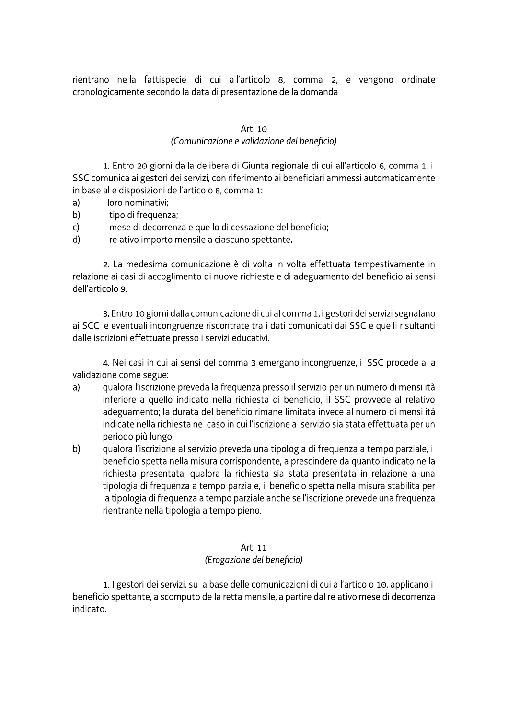rientrano nella fattispecie di cui all'articolo 8, comma 2, e vengono ordinate cronologicamente secondo la data di presentazione della domanda.

# Art. 10

### (Comunicazione e validazione del beneficio)

1. Entro 20 giorni dalla delibera di Giunta regionale di cui all'articolo 6, comma 1, il SSC comunica ai gestori dei servizi, con riferimento ai beneficiari ammessi automaticamente in base alle disposizioni dell'articolo 8, comma 1:

- $a)$ I loro nominativi:
- b) Il tipo di frequenza;
- Il mese di decorrenza e quello di cessazione del beneficio;  $\mathsf{C}$
- $d)$ Il relativo importo mensile a ciascuno spettante.

2. La medesima comunicazione è di volta in volta effettuata tempestivamente in relazione ai casi di accoglimento di nuove richieste e di adeguamento del beneficio ai sensi dell'articolo 9

3. Entro 10 giorni dalla comunicazione di cui al comma 1, i gestori dei servizi segnalano ai SCC le eventuali incongruenze riscontrate tra i dati comunicati dai SSC e quelli risultanti dalle iscrizioni effettuate presso i servizi educativi.

4. Nei casi in cui ai sensi del comma 3 emergano incongruenze, il SSC procede alla validazione come segue:

- $a)$ gualora l'iscrizione preveda la frequenza presso il servizio per un numero di mensilità inferiore a quello indicato nella richiesta di beneficio, il SSC provvede al relativo adeguamento; la durata del beneficio rimane limitata invece al numero di mensilità indicate nella richiesta nel caso in cui l'iscrizione al servizio sia stata effettuata per un periodo più lungo;
- $b)$ gualora l'iscrizione al servizio preveda una tipologia di freguenza a tempo parziale, il beneficio spetta nella misura corrispondente, a prescindere da quanto indicato nella richiesta presentata; qualora la richiesta sia stata presentata in relazione a una tipologia di freguenza a tempo parziale, il beneficio spetta nella misura stabilita per la tipologia di frequenza a tempo parziale anche se l'iscrizione prevede una frequenza rientrante nella tipologia a tempo pieno.

#### Art. 11

# (Erogazione del beneficio)

1. I gestori dei servizi, sulla base delle comunicazioni di cui all'articolo 10, applicano il beneficio spettante, a scomputo della retta mensile, a partire dal relativo mese di decorrenza indicato.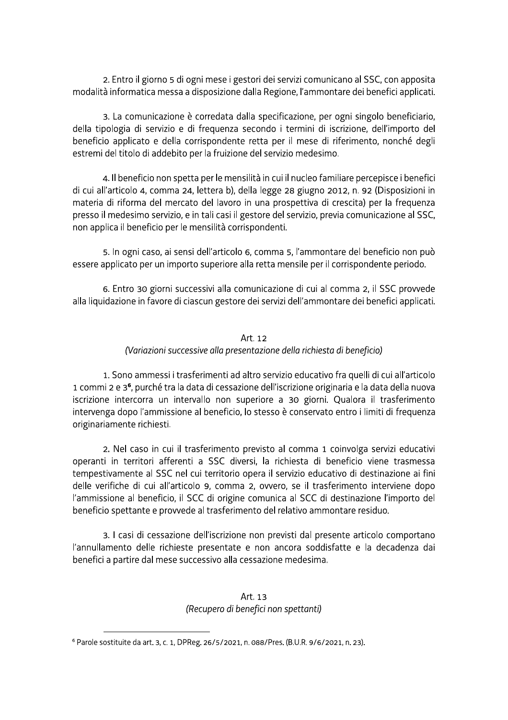2. Entro il giorno 5 di ogni mese i gestori dei servizi comunicano al SSC, con apposita modalità informatica messa a disposizione dalla Regione, l'ammontare dei benefici applicati.

3. La comunicazione è corredata dalla specificazione, per ogni singolo beneficiario, della tipologia di servizio e di frequenza secondo i termini di iscrizione, dell'importo del beneficio applicato e della corrispondente retta per il mese di riferimento, nonché degli estremi del titolo di addebito per la fruizione del servizio medesimo.

4. Il beneficio non spetta per le mensilità in cui il nucleo familiare percepisce i benefici di cui all'articolo 4, comma 24, lettera b), della legge 28 giugno 2012, n. 92 (Disposizioni in materia di riforma del mercato del lavoro in una prospettiva di crescita) per la freguenza presso il medesimo servizio, e in tali casi il gestore del servizio, previa comunicazione al SSC, non applica il beneficio per le mensilità corrispondenti.

5. In ogni caso, ai sensi dell'articolo 6, comma 5, l'ammontare del beneficio non può essere applicato per un importo superiore alla retta mensile per il corrispondente periodo.

6. Entro 30 giorni successivi alla comunicazione di cui al comma 2, il SSC provvede alla liquidazione in favore di ciascun gestore dei servizi dell'ammontare dei benefici applicati.

# Art. 12 (Variazioni successive alla presentazione della richiesta di beneficio)

1. Sono ammessi i trasferimenti ad altro servizio educativo fra quelli di cui all'articolo 1 commi 2 e 3<sup>6</sup>, purché tra la data di cessazione dell'iscrizione originaria e la data della nuova iscrizione intercorra un intervallo non superiore a 30 giorni. Qualora il trasferimento intervenga dopo l'ammissione al beneficio, lo stesso è conservato entro i limiti di frequenza originariamente richiesti.

2. Nel caso in cui il trasferimento previsto al comma 1 coinvolga servizi educativi operanti in territori afferenti a SSC diversi, la richiesta di beneficio viene trasmessa tempestivamente al SSC nel cui territorio opera il servizio educativo di destinazione ai fini delle verifiche di cui all'articolo 9, comma 2, ovvero, se il trasferimento interviene dopo l'ammissione al beneficio, il SCC di origine comunica al SCC di destinazione l'importo del beneficio spettante e provvede al trasferimento del relativo ammontare residuo.

3. I casi di cessazione dell'iscrizione non previsti dal presente articolo comportano l'annullamento delle richieste presentate e non ancora soddisfatte e la decadenza dai benefici a partire dal mese successivo alla cessazione medesima.

# Art. 13 (Recupero di benefici non spettanti)

<sup>&</sup>lt;sup>6</sup> Parole sostituite da art. 3, c. 1, DPReg. 26/5/2021, n. 088/Pres. (B.U.R. 9/6/2021, n. 23).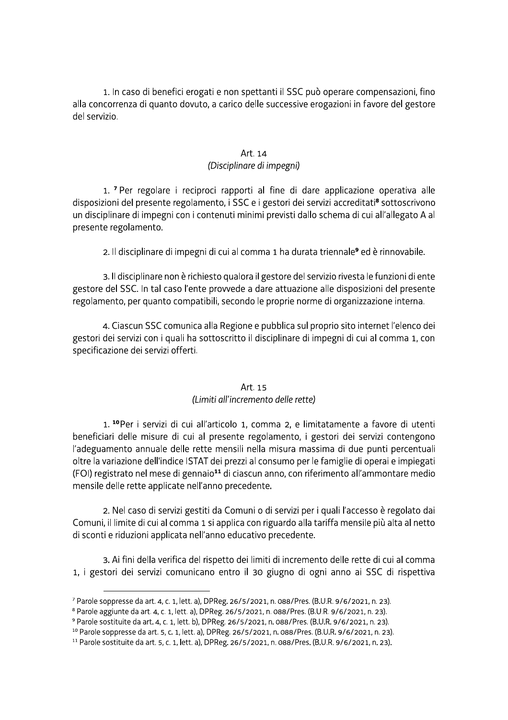1. In caso di benefici erogati e non spettanti il SSC puo operare compensazioni, fino alla concorrenza di quanto dovuto, a carico delle successive erogazioni in favore del gestore del servizio.

# Art. 14<br>(Disciplinare di impegni)

1. In caso di benefici erogati e non spettanti il SSC può operar<br>correnza di quanto dovuto, a carico delle successive erogazion<br>izio.<br>Art. 14<br>(Disciplinare di impegni)<br>1. <sup>7</sup> Per regolare i reciproci rapporti al fine di da <sup>7</sup> Per regolare i reciproci rapporti al fine di dare applicazione operativa alle disposizioni del presente regolamento, i SSC e i gestori dei servizi accreditati<sup>s</sup> sottoscrivono un disciplinare di impegni con i contenuti minimi previsti dallo schema di cui all'allegato A al presente regolamento.

2. Il disciplinare di impegni di cui al comma 1 ha durata triennale**º** ed è rinnovabile.

3. Il disciplinare non è richiesto qualora il gestore del servizio rivesta le funzioni di ente gestore del SSC. In tal caso l'ente provvede a dare attuazione alle disposizioni del presente regolamento, per quanto compatibili, secondo le proprie norme di organizzazione interna.

4. Ciascun SSC comunica alla Regione e pubblica sul proprio sito internet l'elenco dei gestori dei servizi con i quali ha sottoscritto il disciplinare di impegni di cui al comma 1, con specificazione dei servizi offerti.

# Art. 15<br>(Limiti all'incremento delle rette)

rento, per quanto compatibili, secondo le proprie norme di organizzazione i<br>4. Ciascun SSC comunica alla Regione e pubblica sul proprio sito internet l'e<br>dei servizi con i quali ha sottoscritto il disciplinare di impegni d 1.<sup>10</sup>Per i servizi di cui all'articolo 1, comma 2, e limitatamente a favore di utenti beneficiari delle misure di cui al presente regolamento, i gestori dei servizi contengono l'adeguamento annuale delle rette mensili nella misura massima di due punti percentuali oltre la variazione dell'indice ISTAT dei prezzi al consumo per le famiglie di operal è implegati (FOI) registrato nel mese di gennaio<sup>11</sup> di ciascun anno, con riferimento all'ammontare medio mensile delle rette applicate nell'anno precedente.

2. Nel caso di servizi gestiti da Comuni o di servizi per i quali l'accesso e regolato dal Comuni, il limite di cui al comma 1 si applica con riguardo alla tariffa mensile più alta al netto di sconti e riduzioni applicata nell'anno educativo precedente.

3. Ai fini della verifica del rispetto dei limiti di incremento delle rette di cui al comma 1, i gestori dei servizi comunicano entro il 30 giugno di ogni anno ai SSC di rispettiva

tt<del>ttittittiin tillä tillä tillä tillä tillä tillä tillä tillä tillä tillä tillä tillä tillä tillä tillä tillä</del>  $^7$  Parole soppresse da art. 4, c. 1, lett. a), DPReg. 26/5/2021, n. 088/Pres. (B.U.R. 9/6/2021, n. 23).  $\,$ 

 $^{\rm 8}$  Parole aggiunte da art. 4, c. 1, lett. a), DPReg. 26/5/2021, n. 088/Pres. (B.U.R. 9/6/2021, n. 23).

 $^{\circ}$  Parole sostituite da art. 4, c. 1, lett. b), DPReg. 26/5/2021, n. 088/Pres. (B.U.R. 9/6/2021, n. 23).  $\,$ 

 $^{\rm 10}$  Parole soppresse da art. 5, c. 1, lett. a), DPReg. 26/5/2021, n. 088/Pres. (B.U.R. 9/6/2021, n. 23).

 $^{11}$  Parole sostituite da art. 5, c. 1, lett. a), DPReg. 26/5/2021, n. 088/Pres. (B.U.R. 9/6/2021, n. 23).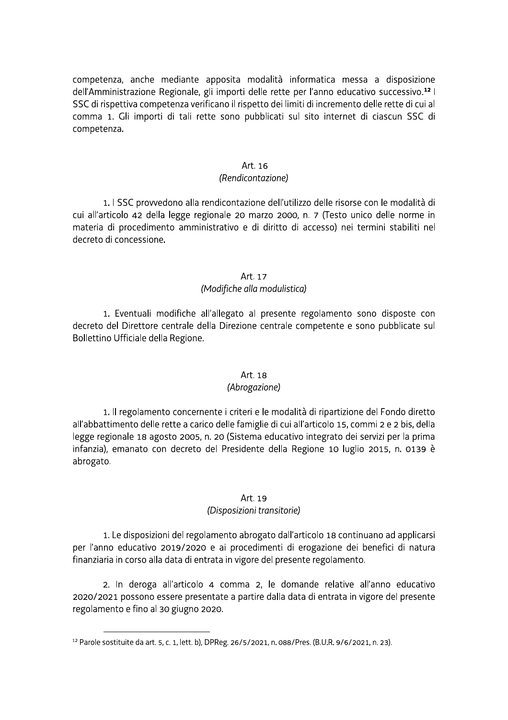competenza, anche mediante apposita modalità informatica messa a disposizione dell'Amministrazione Regionale, gli importi delle rette per l'anno educativo successivo.<sup>12</sup> l SSC di rispettiva competenza verificano il rispetto dei limiti di incremento delle rette di cui al comma 1. Gli importi di tali rette sono pubblicati sul sito internet di ciascun SSC di competenza.

#### Art. 16

#### (Rendicontazione)

1. I SSC provvedono alla rendicontazione dell'utilizzo delle risorse con le modalità di cui all'articolo 42 della legge regionale 20 marzo 2000, n. 7 (Testo unico delle norme in materia di procedimento amministrativo e di diritto di accesso) nei termini stabiliti nel decreto di concessione.

#### Art. 17

#### (Modifiche alla modulistica)

1. Eventuali modifiche all'allegato al presente regolamento sono disposte con decreto del Direttore centrale della Direzione centrale competente e sono pubblicate sul Bollettino Ufficiale della Regione.

#### Art. 18

#### (Abrogazione)

1. Il regolamento concernente i criteri e le modalità di ripartizione del Fondo diretto all'abbattimento delle rette a carico delle famiglie di cui all'articolo 15, commi 2 e 2 bis, della legge regionale 18 agosto 2005, n. 20 (Sistema educativo integrato dei servizi per la prima infanzia), emanato con decreto del Presidente della Regione 10 luglio 2015, n. 0139 è abrogato.

#### Art. 19

#### (Disposizioni transitorie)

1. Le disposizioni del regolamento abrogato dall'articolo 18 continuano ad applicarsi per l'anno educativo 2019/2020 e ai procedimenti di erogazione dei benefici di natura finanziaria in corso alla data di entrata in vigore del presente regolamento.

2. In deroga all'articolo 4 comma 2, le domande relative all'anno educativo 2020/2021 possono essere presentate a partire dalla data di entrata in vigore del presente regolamento e fino al 30 giugno 2020.

<sup>&</sup>lt;sup>12</sup> Parole sostituite da art. 5, c. 1, lett. b), DPReg. 26/5/2021, n. 088/Pres. (B.U.R. 9/6/2021, n. 23).